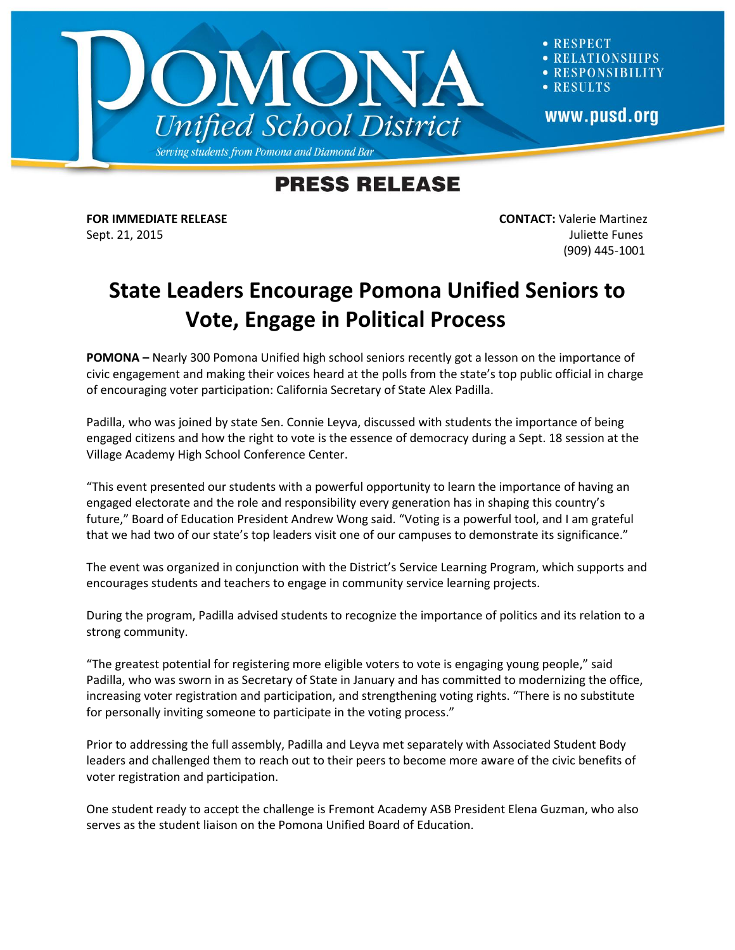

**RESPECT ELATIONSHIPS RESPONSIBILITY** · RESULTS www.pusd.org

## **PRESS RELEASE**

**FOR IMMEDIATE RELEASE CONTACT:** Valerie Martinez Sept. 21, 2015 Juliette Funes (909) 445-1001

## **State Leaders Encourage Pomona Unified Seniors to Vote, Engage in Political Process**

**POMONA –** Nearly 300 Pomona Unified high school seniors recently got a lesson on the importance of civic engagement and making their voices heard at the polls from the state's top public official in charge of encouraging voter participation: California Secretary of State Alex Padilla.

Padilla, who was joined by state Sen. Connie Leyva, discussed with students the importance of being engaged citizens and how the right to vote is the essence of democracy during a Sept. 18 session at the Village Academy High School Conference Center.

"This event presented our students with a powerful opportunity to learn the importance of having an engaged electorate and the role and responsibility every generation has in shaping this country's future," Board of Education President Andrew Wong said. "Voting is a powerful tool, and I am grateful that we had two of our state's top leaders visit one of our campuses to demonstrate its significance."

The event was organized in conjunction with the District's Service Learning Program, which supports and encourages students and teachers to engage in community service learning projects.

During the program, Padilla advised students to recognize the importance of politics and its relation to a strong community.

"The greatest potential for registering more eligible voters to vote is engaging young people," said Padilla, who was sworn in as Secretary of State in January and has committed to modernizing the office, increasing voter registration and participation, and strengthening voting rights. "There is no substitute for personally inviting someone to participate in the voting process."

Prior to addressing the full assembly, Padilla and Leyva met separately with Associated Student Body leaders and challenged them to reach out to their peers to become more aware of the civic benefits of voter registration and participation.

One student ready to accept the challenge is Fremont Academy ASB President Elena Guzman, who also serves as the student liaison on the Pomona Unified Board of Education.